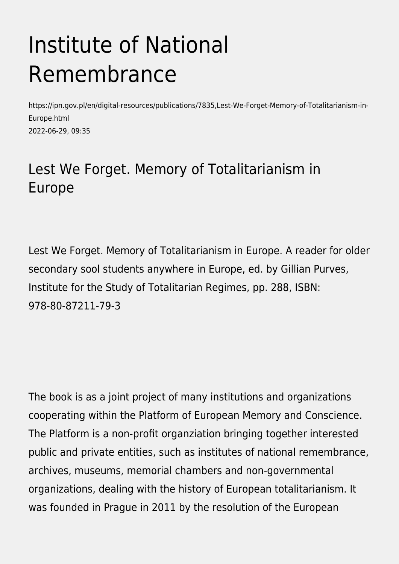## Institute of National Remembrance

https://ipn.gov.pl/en/digital-resources/publications/7835,Lest-We-Forget-Memory-of-Totalitarianism-in-Europe.html 2022-06-29, 09:35

## Lest We Forget. Memory of Totalitarianism in Europe

Lest We Forget. Memory of Totalitarianism in Europe. A reader for older secondary sool students anywhere in Europe, ed. by Gillian Purves, Institute for the Study of Totalitarian Regimes, pp. 288, ISBN: 978-80-87211-79-3

The book is as a joint project of many institutions and organizations cooperating within the Platform of European Memory and Conscience. The Platform is a non-profit organziation bringing together interested public and private entities, such as institutes of national remembrance, archives, museums, memorial chambers and non-governmental organizations, dealing with the history of European totalitarianism. It was founded in Prague in 2011 by the resolution of the European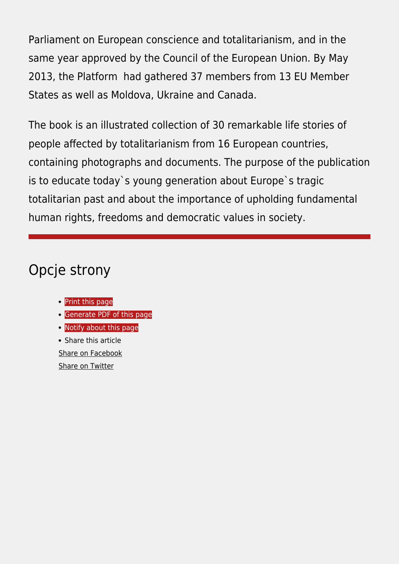Parliament on European conscience and totalitarianism, and in the same year approved by the Council of the European Union. By May 2013, the Platform had gathered 37 members from 13 EU Member States as well as Moldova, Ukraine and Canada.

The book is an illustrated collection of 30 remarkable life stories of people affected by totalitarianism from 16 European countries, containing photographs and documents. The purpose of the publication is to educate today`s young generation about Europe`s tragic totalitarian past and about the importance of upholding fundamental human rights, freedoms and democratic values in society.

## Opcje strony

- [Print](https://ipn.gov.pl/javascript:winopen() [this page](https://ipn.gov.pl/javascript:winopen()
- **[Generate PDF](https://ipn.gov.pl/en/digital-resources/publications/7835,Lest-We-Forget-Memory-of-Totalitarianism-in-Europe.pdf) [of this page](https://ipn.gov.pl/en/digital-resources/publications/7835,Lest-We-Forget-Memory-of-Totalitarianism-in-Europe.pdf)**
- [Notify](https://ipn.gov.pl/en/powiadom/7835,dok.html?poz=digital-resources/publications&drukuj=window) [about this page](https://ipn.gov.pl/en/powiadom/7835,dok.html?poz=digital-resources/publications&drukuj=window)

• Share this article [Share](https://www.facebook.com/sharer/sharer.php?u=https://ipn.gov.pl/en/digital-resources/publications/7835,Lest-We-Forget-Memory-of-Totalitarianism-in-Europe.html) [on Facebook](https://www.facebook.com/sharer/sharer.php?u=https://ipn.gov.pl/en/digital-resources/publications/7835,Lest-We-Forget-Memory-of-Totalitarianism-in-Europe.html) [Share](https://twitter.com/share) [on Twitter](https://twitter.com/share)